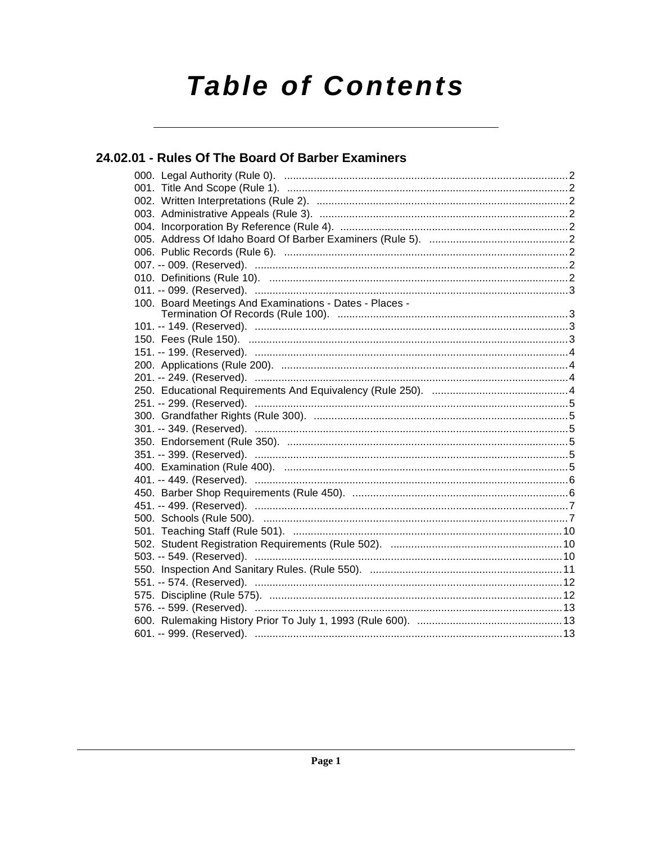# **Table of Contents**

### 24.02.01 - Rules Of The Board Of Barber Examiners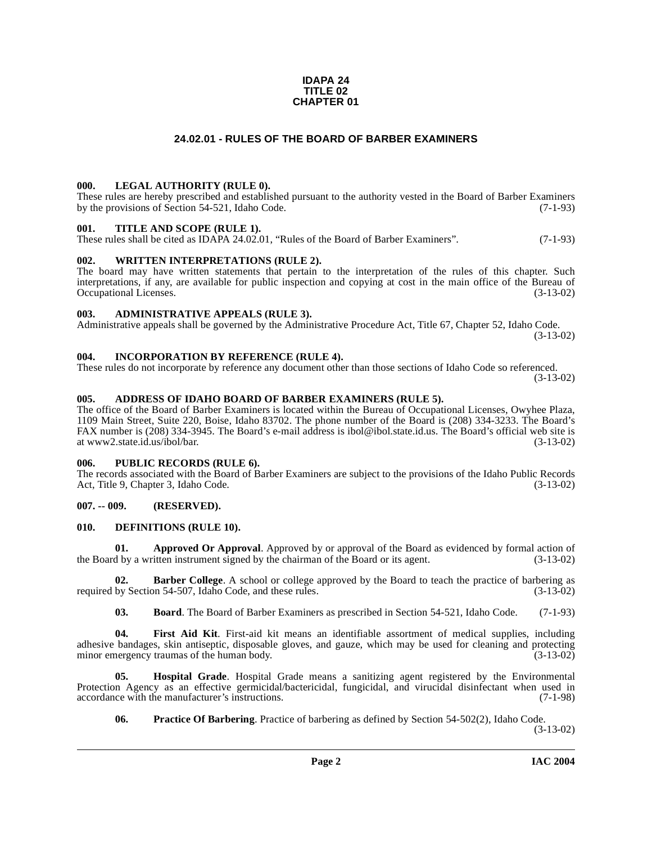#### **IDAPA 24 TITLE 02 CHAPTER 01**

#### **24.02.01 - RULES OF THE BOARD OF BARBER EXAMINERS**

#### <span id="page-1-1"></span><span id="page-1-0"></span>**000. LEGAL AUTHORITY (RULE 0).**

These rules are hereby prescribed and established pursuant to the authority vested in the Board of Barber Examiners by the provisions of Section 54-521, Idaho Code. (7-1-93)

#### <span id="page-1-2"></span>**001. TITLE AND SCOPE (RULE 1).**

These rules shall be cited as IDAPA 24.02.01, "Rules of the Board of Barber Examiners". (7-1-93)

#### <span id="page-1-3"></span>**002. WRITTEN INTERPRETATIONS (RULE 2).**

The board may have written statements that pertain to the interpretation of the rules of this chapter. Such interpretations, if any, are available for public inspection and copying at cost in the main office of the Bureau of Occupational Licenses. (3-13-02) Occupational Licenses.

#### <span id="page-1-4"></span>**003. ADMINISTRATIVE APPEALS (RULE 3).**

Administrative appeals shall be governed by the Administrative Procedure Act, Title 67, Chapter 52, Idaho Code. (3-13-02)

#### <span id="page-1-5"></span>**004. INCORPORATION BY REFERENCE (RULE 4).**

These rules do not incorporate by reference any document other than those sections of Idaho Code so referenced. (3-13-02)

#### <span id="page-1-10"></span><span id="page-1-6"></span>**005. ADDRESS OF IDAHO BOARD OF BARBER EXAMINERS (RULE 5).**

The office of the Board of Barber Examiners is located within the Bureau of Occupational Licenses, Owyhee Plaza, 1109 Main Street, Suite 220, Boise, Idaho 83702. The phone number of the Board is (208) 334-3233. The Board's FAX number is (208) 334-3945. The Board's e-mail address is ibol@ibol.state.id.us. The Board's official web site is at www2.state.id.us/ibol/bar. (3-13-02)

#### <span id="page-1-7"></span>**006. PUBLIC RECORDS (RULE 6).**

The records associated with the Board of Barber Examiners are subject to the provisions of the Idaho Public Records<br>Act, Title 9, Chapter 3, Idaho Code. (3-13-02) Act, Title 9, Chapter 3, Idaho Code.

#### <span id="page-1-8"></span>**007. -- 009. (RESERVED).**

#### <span id="page-1-12"></span><span id="page-1-9"></span>**010. DEFINITIONS (RULE 10).**

**01. Approved Or Approval**. Approved by or approval of the Board as evidenced by formal action of the Board by a written instrument signed by the chairman of the Board or its agent. (3-13-02)

**02. Barber College**. A school or college approved by the Board to teach the practice of barbering as by Section 54-507, Idaho Code, and these rules. (3-13-02) required by Section 54-507, Idaho Code, and these rules.

<span id="page-1-13"></span><span id="page-1-11"></span>**03. Board**. The Board of Barber Examiners as prescribed in Section 54-521, Idaho Code. (7-1-93)

**04. First Aid Kit**. First-aid kit means an identifiable assortment of medical supplies, including adhesive bandages, skin antiseptic, disposable gloves, and gauze, which may be used for cleaning and protecting minor emergency traumas of the human body. (3-13-02) minor emergency traumas of the human body.

**05. Hospital Grade**. Hospital Grade means a sanitizing agent registered by the Environmental Protection Agency as an effective germicidal/bactericidal, fungicidal, and virucidal disinfectant when used in accordance with the manufacturer's instructions. (7-1-98) accordance with the manufacturer's instructions.

<span id="page-1-15"></span><span id="page-1-14"></span>**06. Practice Of Barbering**. Practice of barbering as defined by Section 54-502(2), Idaho Code.

(3-13-02)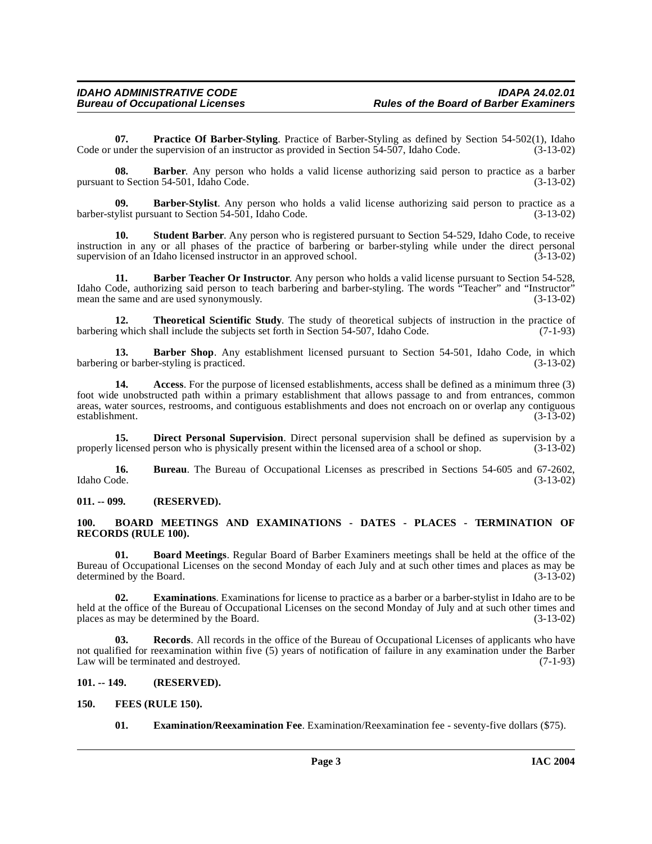**07. Practice Of Barber-Styling**. Practice of Barber-Styling as defined by Section 54-502(1), Idaho Code or under the supervision of an instructor as provided in Section 54-507, Idaho Code. (3-13-02)

**08. Barber**. Any person who holds a valid license authorizing said person to practice as a barber pursuant to Section 54-501, Idaho Code. (3-13-02)

**09. Barber-Stylist**. Any person who holds a valid license authorizing said person to practice as a barber-stylist pursuant to Section 54-501, Idaho Code. (3-13-02)

**10. Student Barber**. Any person who is registered pursuant to Section 54-529, Idaho Code, to receive instruction in any or all phases of the practice of barbering or barber-styling while under the direct personal<br>supervision of an Idaho licensed instructor in an approved school. (3-13-02) supervision of an Idaho licensed instructor in an approved school.

<span id="page-2-6"></span>**11. Barber Teacher Or Instructor**. Any person who holds a valid license pursuant to Section 54-528, Idaho Code, authorizing said person to teach barbering and barber-styling. The words "Teacher" and "Instructor" mean the same and are used synonymously. (3-13-02) mean the same and are used synonymously.

<span id="page-2-14"></span>**12. Theoretical Scientific Study**. The study of theoretical subjects of instruction in the practice of barbering which shall include the subjects set forth in Section 54-507, Idaho Code. (7-1-93)

<span id="page-2-5"></span>**13. Barber Shop**. Any establishment licensed pursuant to Section 54-501, Idaho Code, in which g or barber-styling is practiced. (3-13-02) barbering or barber-styling is practiced.

<span id="page-2-4"></span>**14. Access**. For the purpose of licensed establishments, access shall be defined as a minimum three (3) foot wide unobstructed path within a primary establishment that allows passage to and from entrances, common areas, water sources, restrooms, and contiguous establishments and does not encroach on or overlap any contiguous establishment. (3-13-02) establishment.

<span id="page-2-9"></span>**15. Direct Personal Supervision**. Direct personal supervision shall be defined as supervision by a licensed person who is physically present within the licensed area of a school or shop.  $(3-13-02)$ properly licensed person who is physically present within the licensed area of a school or shop.

**16.** Bureau. The Bureau of Occupational Licenses as prescribed in Sections 54-605 and 67-2602, Idaho Code. (3-13-02) Idaho Code. (3-13-02)

<span id="page-2-0"></span>**011. -- 099. (RESERVED).**

#### <span id="page-2-7"></span><span id="page-2-1"></span>**100. BOARD MEETINGS AND EXAMINATIONS - DATES - PLACES - TERMINATION OF RECORDS (RULE 100).**

<span id="page-2-8"></span>**01. Board Meetings**. Regular Board of Barber Examiners meetings shall be held at the office of the Bureau of Occupational Licenses on the second Monday of each July and at such other times and places as may be determined by the Board. (3-13-02)

<span id="page-2-11"></span>**02. Examinations**. Examinations for license to practice as a barber or a barber-stylist in Idaho are to be held at the office of the Bureau of Occupational Licenses on the second Monday of July and at such other times and places as may be determined by the Board. (3-13-02)

<span id="page-2-13"></span>**03. Records**. All records in the office of the Bureau of Occupational Licenses of applicants who have not qualified for reexamination within five (5) years of notification of failure in any examination under the Barber<br>Law will be terminated and destroved. (7-1-93) Law will be terminated and destroyed.

#### <span id="page-2-2"></span>**101. -- 149. (RESERVED).**

#### <span id="page-2-3"></span>**150. FEES (RULE 150).**

<span id="page-2-12"></span><span id="page-2-10"></span>**01. Examination/Reexamination Fee**. Examination/Reexamination fee - seventy-five dollars (\$75).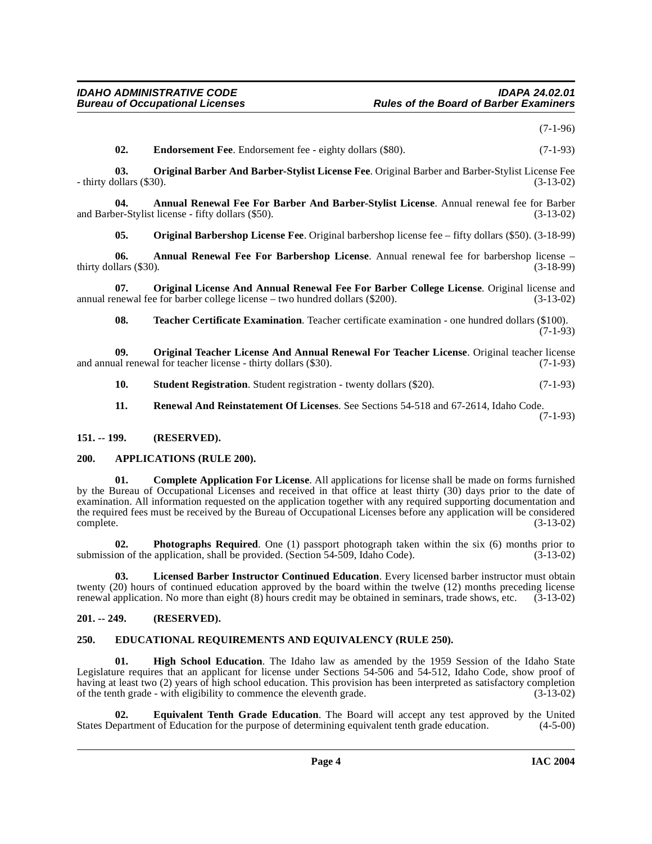(7-1-96)

<span id="page-3-13"></span><span id="page-3-9"></span>**02. Endorsement Fee**. Endorsement fee - eighty dollars (\$80). (7-1-93)

**03. Original Barber And Barber-Stylist License Fee**. Original Barber and Barber-Stylist License Fee - thirty dollars (\$30). (3-13-02)

**04. Annual Renewal Fee For Barber And Barber-Stylist License**. Annual renewal fee for Barber and Barber-Stylist license - fifty dollars (\$50).

<span id="page-3-14"></span><span id="page-3-5"></span><span id="page-3-4"></span>**05. Original Barbershop License Fee**. Original barbershop license fee – fifty dollars (\$50). (3-18-99)

**06. Annual Renewal Fee For Barbershop License**. Annual renewal fee for barbershop license – thirty dollars (\$30). (3-18-99)

**07. Original License And Annual Renewal Fee For Barber College License**. Original license and the for barber college license – two hundred dollars (\$200). (3-13-02) annual renewal fee for barber college license – two hundred dollars  $(\$200)$ .

<span id="page-3-20"></span><span id="page-3-16"></span><span id="page-3-15"></span>**08. Teacher Certificate Examination**. Teacher certificate examination - one hundred dollars (\$100). (7-1-93)

**09.** Original Teacher License And Annual Renewal For Teacher License. Original teacher license al renewal for teacher license - thirty dollars (\$30). (7-1-93) and annual renewal for teacher license - thirty dollars (\$30).

- <span id="page-3-19"></span>**10. Student Registration**. Student registration - twenty dollars (\$20). (7-1-93)
- <span id="page-3-18"></span><span id="page-3-7"></span>**11. Renewal And Reinstatement Of Licenses**. See Sections 54-518 and 67-2614, Idaho Code. (7-1-93)
- <span id="page-3-0"></span>**151. -- 199. (RESERVED).**

#### <span id="page-3-6"></span><span id="page-3-1"></span>**200. APPLICATIONS (RULE 200).**

**01. Complete Application For License**. All applications for license shall be made on forms furnished by the Bureau of Occupational Licenses and received in that office at least thirty (30) days prior to the date of examination. All information requested on the application together with any required supporting documentation and the required fees must be received by the Bureau of Occupational Licenses before any application will be considered complete. (3-13-02) complete. (3-13-02)

<span id="page-3-17"></span>**02. Photographs Required**. One (1) passport photograph taken within the six (6) months prior to on of the application, shall be provided. (Section 54-509, Idaho Code). (3-13-02) submission of the application, shall be provided. (Section  $54-509$ , Idaho Code).

<span id="page-3-12"></span>**03. Licensed Barber Instructor Continued Education**. Every licensed barber instructor must obtain twenty (20) hours of continued education approved by the board within the twelve (12) months preceding license<br>renewal application. No more than eight (8) hours credit may be obtained in seminars, trade shows, etc. (3-13-0 renewal application. No more than eight  $(8)$  hours credit may be obtained in seminars, trade shows, etc.

#### <span id="page-3-2"></span>**201. -- 249. (RESERVED).**

#### <span id="page-3-8"></span><span id="page-3-3"></span>**250. EDUCATIONAL REQUIREMENTS AND EQUIVALENCY (RULE 250).**

<span id="page-3-11"></span>**High School Education**. The Idaho law as amended by the 1959 Session of the Idaho State Legislature requires that an applicant for license under Sections 54-506 and 54-512, Idaho Code, show proof of having at least two (2) years of high school education. This provision has been interpreted as satisfactory completion of the tenth grade - with eligibility to commence the eleventh grade. (3-13-02)

<span id="page-3-10"></span>**02. Equivalent Tenth Grade Education**. The Board will accept any test approved by the United States Department of Education for the purpose of determining equivalent tenth grade education. (4-5-00)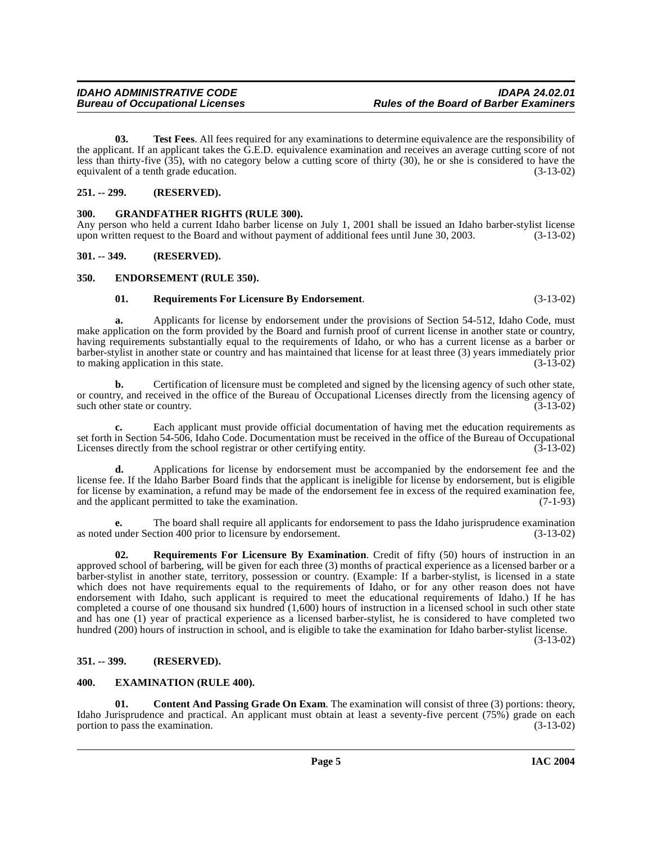<span id="page-4-12"></span>**03. Test Fees**. All fees required for any examinations to determine equivalence are the responsibility of the applicant. If an applicant takes the G.E.D. equivalence examination and receives an average cutting score of not less than thirty-five  $(\overline{35})$ , with no category below a cutting score of thirty (30), he or she is considered to have the equivalent of a tenth grade education. (3-13-02)

**IDAHO ADMINISTRATIVE CODE IDAPA 24.02.01**

#### <span id="page-4-0"></span>**251. -- 299. (RESERVED).**

**Bureau of Occupational Licenses** 

#### <span id="page-4-9"></span><span id="page-4-1"></span>**300. GRANDFATHER RIGHTS (RULE 300).**

Any person who held a current Idaho barber license on July 1, 2001 shall be issued an Idaho barber-stylist license upon written request to the Board and without payment of additional fees until June 30, 2003. (3-13-02)

#### <span id="page-4-2"></span>**301. -- 349. (RESERVED).**

#### <span id="page-4-3"></span>**350. ENDORSEMENT (RULE 350).**

#### <span id="page-4-10"></span><span id="page-4-7"></span>**01. Requirements For Licensure By Endorsement**. (3-13-02)

**a.** Applicants for license by endorsement under the provisions of Section 54-512, Idaho Code, must make application on the form provided by the Board and furnish proof of current license in another state or country, having requirements substantially equal to the requirements of Idaho, or who has a current license as a barber or barber-stylist in another state or country and has maintained that license for at least three (3) years immediately prior to making application in this state.

**b.** Certification of licensure must be completed and signed by the licensing agency of such other state, or country, and received in the office of the Bureau of Occupational Licenses directly from the licensing agency of such other state or country. (3-13-02) such other state or country.

**c.** Each applicant must provide official documentation of having met the education requirements as set forth in Section 54-506, Idaho Code. Documentation must be received in the office of the Bureau of Occupational<br>Licenses directly from the school registrar or other certifying entity. (3-13-02) Licenses directly from the school registrar or other certifying entity.

**d.** Applications for license by endorsement must be accompanied by the endorsement fee and the license fee. If the Idaho Barber Board finds that the applicant is ineligible for license by endorsement, but is eligible for license by examination, a refund may be made of the endorsement fee in excess of the required examination fee, and the applicant permitted to take the examination. (7-1-93) and the applicant permitted to take the examination.

**e.** The board shall require all applicants for endorsement to pass the Idaho jurisprudence examination as noted under Section 400 prior to licensure by endorsement. (3-13-02)

<span id="page-4-11"></span>**02. Requirements For Licensure By Examination**. Credit of fifty (50) hours of instruction in an approved school of barbering, will be given for each three (3) months of practical experience as a licensed barber or a barber-stylist in another state, territory, possession or country. (Example: If a barber-stylist, is licensed in a state which does not have requirements equal to the requirements of Idaho, or for any other reason does not have endorsement with Idaho, such applicant is required to meet the educational requirements of Idaho.) If he has completed a course of one thousand six hundred (1,600) hours of instruction in a licensed school in such other state and has one (1) year of practical experience as a licensed barber-stylist, he is considered to have completed two hundred (200) hours of instruction in school, and is eligible to take the examination for Idaho barber-stylist license.

(3-13-02)

### <span id="page-4-4"></span>**351. -- 399. (RESERVED).**

#### <span id="page-4-8"></span><span id="page-4-5"></span>**400. EXAMINATION (RULE 400).**

<span id="page-4-6"></span>**01.** Content And Passing Grade On Exam. The examination will consist of three (3) portions: theory, Idaho Jurisprudence and practical. An applicant must obtain at least a seventy-five percent (75%) grade on each portion to pass the examination. (3-13-02) portion to pass the examination.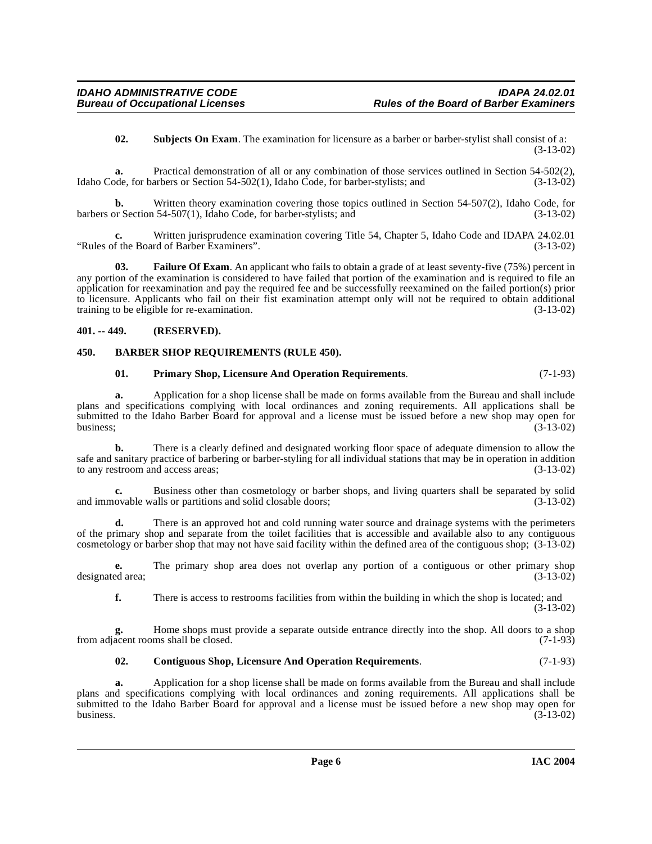<span id="page-5-6"></span>**02. Subjects On Exam**. The examination for licensure as a barber or barber-stylist shall consist of a: (3-13-02)

**a.** Practical demonstration of all or any combination of those services outlined in Section 54-502(2), Idaho Code, for barbers or Section 54-502(1), Idaho Code, for barber-stylists; and (3-13-02)

**b.** Written theory examination covering those topics outlined in Section 54-507(2), Idaho Code, for barbers or Section 54-507(1), Idaho Code, for barber-stylists; and (3-13-02)

Written jurisprudence examination covering Title 54, Chapter 5, Idaho Code and IDAPA 24.02.01<br>rd of Barber Examiners". (3-13-02) "Rules of the Board of Barber Examiners".

<span id="page-5-4"></span>**Failure Of Exam**. An applicant who fails to obtain a grade of at least seventy-five (75%) percent in any portion of the examination is considered to have failed that portion of the examination and is required to file an application for reexamination and pay the required fee and be successfully reexamined on the failed portion(s) prior to licensure. Applicants who fail on their fist examination attempt only will not be required to obtain additional training to be eligible for re-examination. (3-13-02) training to be eligible for re-examination.

#### <span id="page-5-0"></span>**401. -- 449. (RESERVED).**

#### <span id="page-5-1"></span>**450. BARBER SHOP REQUIREMENTS (RULE 450).**

#### <span id="page-5-5"></span><span id="page-5-2"></span>**01. Primary Shop, Licensure And Operation Requirements**. (7-1-93)

**a.** Application for a shop license shall be made on forms available from the Bureau and shall include plans and specifications complying with local ordinances and zoning requirements. All applications shall be submitted to the Idaho Barber Board for approval and a license must be issued before a new shop may open for business;<br>(3-13-02) business;  $(3-13-02)$ 

**b.** There is a clearly defined and designated working floor space of adequate dimension to allow the safe and sanitary practice of barbering or barber-styling for all individual stations that may be in operation in addition to any restroom and access areas; (3-13-02)

Business other than cosmetology or barber shops, and living quarters shall be separated by solid alls or partitions and solid closable doors:  $(3-13-02)$ and immovable walls or partitions and solid closable doors;

**d.** There is an approved hot and cold running water source and drainage systems with the perimeters of the primary shop and separate from the toilet facilities that is accessible and available also to any contiguous cosmetology or barber shop that may not have said facility within the defined area of the contiguous shop; (3-13-02)

**e.** The primary shop area does not overlap any portion of a contiguous or other primary shop designated area; (3-13-02)

**f.** There is access to restrooms facilities from within the building in which the shop is located; and (3-13-02)

**g.** Home shops must provide a separate outside entrance directly into the shop. All doors to a shop from adjacent rooms shall be closed. (7-1-93)

#### <span id="page-5-3"></span>**02. Contiguous Shop, Licensure And Operation Requirements**. (7-1-93)

**a.** Application for a shop license shall be made on forms available from the Bureau and shall include plans and specifications complying with local ordinances and zoning requirements. All applications shall be submitted to the Idaho Barber Board for approval and a license must be issued before a new shop may open for business. (3-13-02) business.  $(3-13-02)$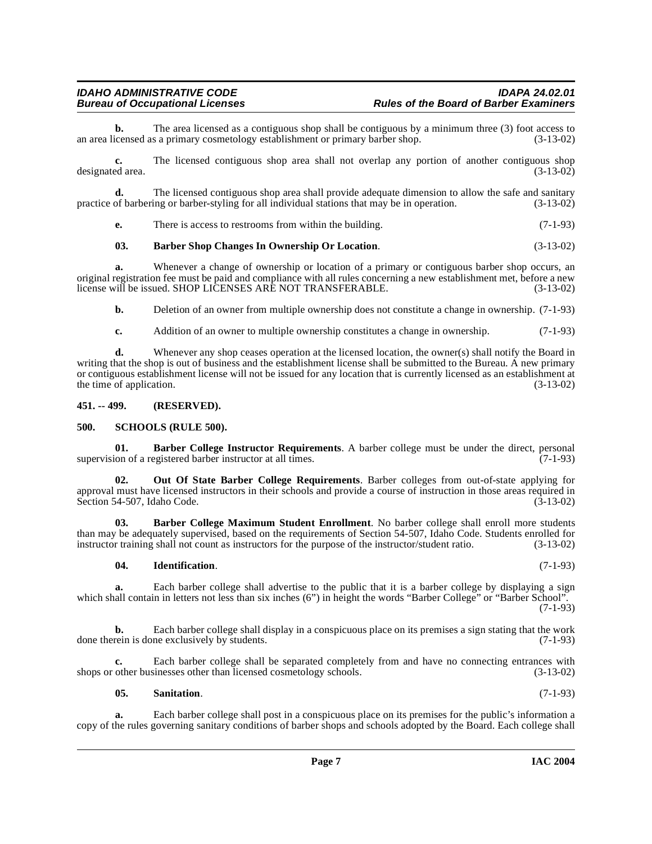**b.** The area licensed as a contiguous shop shall be contiguous by a minimum three (3) foot access to an area licensed as a primary cosmetology establishment or primary barber shop. (3-13-02)

**c.** The licensed contiguous shop area shall not overlap any portion of another contiguous shop designated area. (3-13-02)

**d.** The licensed contiguous shop area shall provide adequate dimension to allow the safe and sanitary of barbering or barber-styling for all individual stations that may be in operation. (3-13-02) practice of barbering or barber-styling for all individual stations that may be in operation.

**e.** There is access to restrooms from within the building. (7-1-93)

### <span id="page-6-4"></span>**03. Barber Shop Changes In Ownership Or Location**. (3-13-02)

**a.** Whenever a change of ownership or location of a primary or contiguous barber shop occurs, an original registration fee must be paid and compliance with all rules concerning a new establishment met, before a new license will be issued. SHOP LICENSES ARE NOT TRANSFERABLE. (3-13-02)

**b.** Deletion of an owner from multiple ownership does not constitute a change in ownership.  $(7-1-93)$ 

**c.** Addition of an owner to multiple ownership constitutes a change in ownership. (7-1-93)

**d.** Whenever any shop ceases operation at the licensed location, the owner(s) shall notify the Board in writing that the shop is out of business and the establishment license shall be submitted to the Bureau. A new primary or contiguous establishment license will not be issued for any location that is currently licensed as an establishment at the time of application.  $(3-13-02)$ 

### <span id="page-6-0"></span>**451. -- 499. (RESERVED).**

### <span id="page-6-8"></span><span id="page-6-1"></span>**500. SCHOOLS (RULE 500).**

<span id="page-6-2"></span>**01. Barber College Instructor Requirements**. A barber college must be under the direct, personal ion of a registered barber instructor at all times. (7-1-93) supervision of a registered barber instructor at all times.

<span id="page-6-6"></span>**02. Out Of State Barber College Requirements**. Barber colleges from out-of-state applying for approval must have licensed instructors in their schools and provide a course of instruction in those areas required in Section 54-507, Idaho Code. (3-13-02) Section 54-507, Idaho Code.

**03. Barber College Maximum Student Enrollment**. No barber college shall enroll more students than may be adequately supervised, based on the requirements of Section 54-507, Idaho Code. Students enrolled for instructor training shall not count as instructors for the purpose of the instructor/student ratio. (3-13-02 instructor training shall not count as instructors for the purpose of the instructor/student ratio.

### <span id="page-6-5"></span><span id="page-6-3"></span>**04. Identification**. (7-1-93)

**a.** Each barber college shall advertise to the public that it is a barber college by displaying a sign which shall contain in letters not less than six inches (6") in height the words "Barber College" or "Barber School". (7-1-93)

**b.** Each barber college shall display in a conspicuous place on its premises a sign stating that the work done therein is done exclusively by students.  $(7-1-93)$ 

**c.** Each barber college shall be separated completely from and have no connecting entrances with shops or other businesses other than licensed cosmetology schools. (3-13-02)

**a.** Each barber college shall post in a conspicuous place on its premises for the public's information a copy of the rules governing sanitary conditions of barber shops and schools adopted by the Board. Each college shall

<span id="page-6-7"></span>**05. Sanitation**. (7-1-93)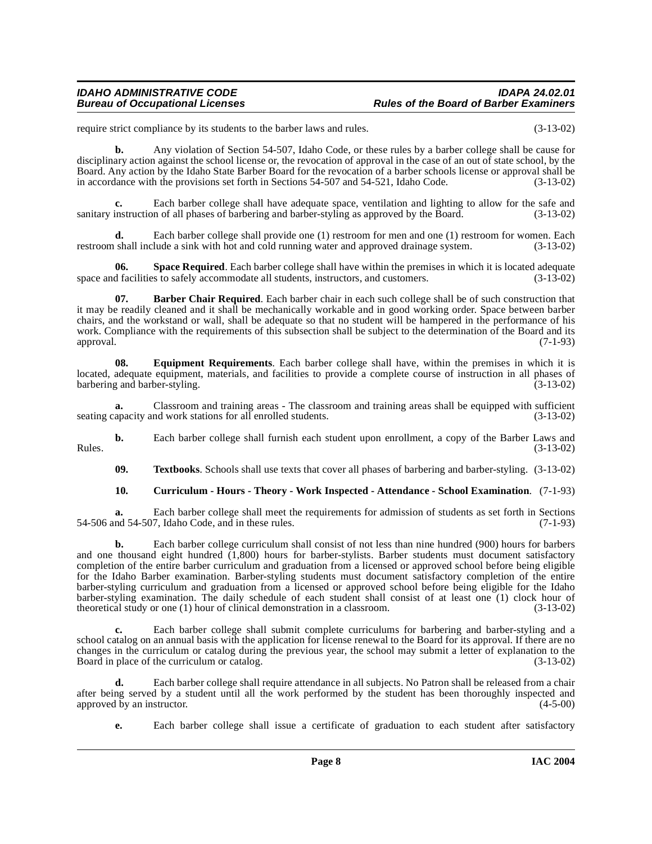#### **IDAHO ADMINISTRATIVE CODE IDAPA 24.02.01 Rules of the Board of Barber Examiners**

require strict compliance by its students to the barber laws and rules. (3-13-02)

**b.** Any violation of Section 54-507, Idaho Code, or these rules by a barber college shall be cause for disciplinary action against the school license or, the revocation of approval in the case of an out of state school, by the Board. Any action by the Idaho State Barber Board for the revocation of a barber schools license or approval shall be in accordance with the provisions set forth in Sections 54-507 and 54-521, Idaho Code. (3-13-02)

**c.** Each barber college shall have adequate space, ventilation and lighting to allow for the safe and sanitary instruction of all phases of barbering and barber-styling as approved by the Board. (3-13-02)

**d.** Each barber college shall provide one (1) restroom for men and one (1) restroom for women. Each restroom shall include a sink with hot and cold running water and approved drainage system. (3-13-02)

<span id="page-7-3"></span>**06. Space Required**. Each barber college shall have within the premises in which it is located adequate space and facilities to safely accommodate all students, instructors, and customers. (3-13-02)

<span id="page-7-0"></span>**07. Barber Chair Required**. Each barber chair in each such college shall be of such construction that it may be readily cleaned and it shall be mechanically workable and in good working order. Space between barber chairs, and the workstand or wall, shall be adequate so that no student will be hampered in the performance of his work. Compliance with the requirements of this subsection shall be subject to the determination of the Board and its approval. (7-1-93)

<span id="page-7-2"></span>**08. Equipment Requirements**. Each barber college shall have, within the premises in which it is located, adequate equipment, materials, and facilities to provide a complete course of instruction in all phases of barbering and barber-styling. (3-13-02)

**a.** Classroom and training areas - The classroom and training areas shall be equipped with sufficient seating capacity and work stations for all enrolled students. (3-13-02)

**b.** Each barber college shall furnish each student upon enrollment, a copy of the Barber Laws and (3-13-02) Rules.  $(3-13-02)$ 

<span id="page-7-4"></span>**09. Textbooks**. Schools shall use texts that cover all phases of barbering and barber-styling. (3-13-02)

#### <span id="page-7-1"></span>**10. Curriculum - Hours - Theory - Work Inspected - Attendance - School Examination**. (7-1-93)

**a.** Each barber college shall meet the requirements for admission of students as set forth in Sections nd 54-507, Idaho Code, and in these rules. (7-1-93) 54-506 and 54-507, Idaho Code, and in these rules.

**b.** Each barber college curriculum shall consist of not less than nine hundred (900) hours for barbers and one thousand eight hundred (1,800) hours for barber-stylists. Barber students must document satisfactory completion of the entire barber curriculum and graduation from a licensed or approved school before being eligible for the Idaho Barber examination. Barber-styling students must document satisfactory completion of the entire barber-styling curriculum and graduation from a licensed or approved school before being eligible for the Idaho barber-styling examination. The daily schedule of each student shall consist of at least one (1) clock hour of theoretical study or one (1) hour of clinical demonstration in a classroom. (3-13-02) theoretical study or one  $(1)$  hour of clinical demonstration in a classroom.

**c.** Each barber college shall submit complete curriculums for barbering and barber-styling and a school catalog on an annual basis with the application for license renewal to the Board for its approval. If there are no changes in the curriculum or catalog during the previous year, the school may submit a letter of explanation to the Board in place of the curriculum or catalog. (3-13-02) Board in place of the curriculum or catalog.

**d.** Each barber college shall require attendance in all subjects. No Patron shall be released from a chair after being served by a student until all the work performed by the student has been thoroughly inspected and approved by an instructor. (4-5-00) approved by an instructor.

**e.** Each barber college shall issue a certificate of graduation to each student after satisfactory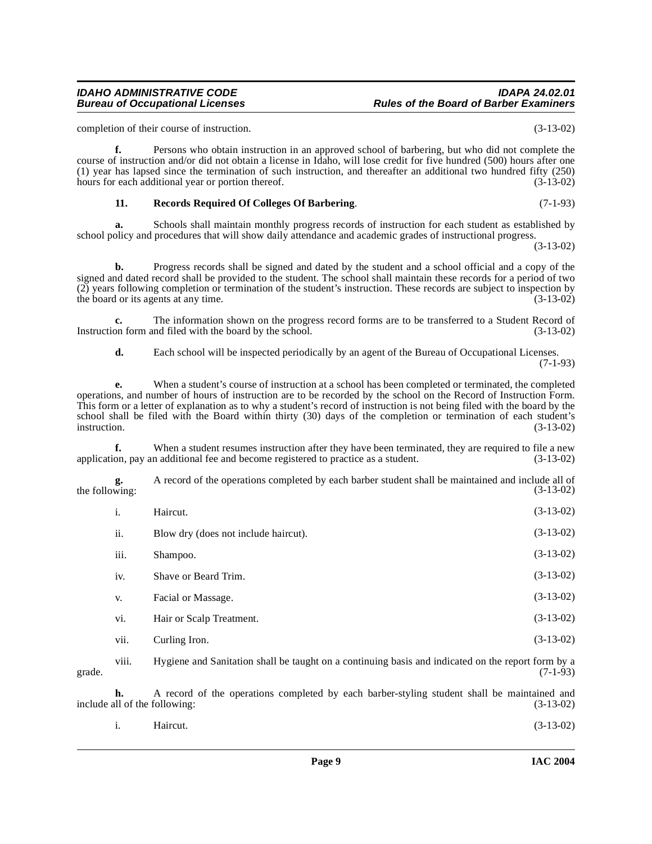## school policy and procedures that will show daily attendance and academic grades of instructional progress.

**f.** Persons who obtain instruction in an approved school of barbering, but who did not complete the

<span id="page-8-0"></span>**11. Records Required Of Colleges Of Barbering**. (7-1-93) **a.** Schools shall maintain monthly progress records of instruction for each student as established by

course of instruction and/or did not obtain a license in Idaho, will lose credit for five hundred (500) hours after one (1) year has lapsed since the termination of such instruction, and thereafter an additional two hundred fifty (250) hours for each additional year or portion thereof. (3-13-02)

**b.** Progress records shall be signed and dated by the student and a school official and a copy of the signed and dated record shall be provided to the student. The school shall maintain these records for a period of two (2) years following completion or termination of the student's instruction. These records are subject to inspection by the board or its agents at any time.

**c.** The information shown on the progress record forms are to be transferred to a Student Record of Instruction form and filed with the board by the school. (3-13-02)

**d.** Each school will be inspected periodically by an agent of the Bureau of Occupational Licenses. (7-1-93)

**e.** When a student's course of instruction at a school has been completed or terminated, the completed operations, and number of hours of instruction are to be recorded by the school on the Record of Instruction Form. This form or a letter of explanation as to why a student's record of instruction is not being filed with the board by the school shall be filed with the Board within thirty (30) days of the completion or termination of each student's instruction. (3-13-02) instruction. (3-13-02)

**f.** When a student resumes instruction after they have been terminated, they are required to file a new application, pay an additional fee and become registered to practice as a student. (3-13-02)

**g.** A record of the operations completed by each barber student shall be maintained and include all of wing: (3-13-02) the following:

| i.   | Haircut.                             | $(3-13-02)$ |
|------|--------------------------------------|-------------|
| ii.  | Blow dry (does not include haircut). | $(3-13-02)$ |
| iii. | Shampoo.                             | $(3-13-02)$ |
| iv.  | Shave or Beard Trim.                 | $(3-13-02)$ |
| V.   | Facial or Massage.                   | $(3-13-02)$ |
| vi.  | Hair or Scalp Treatment.             | $(3-13-02)$ |
| vii. | Curling Iron.                        | $(3-13-02)$ |

viii. Hygiene and Sanitation shall be taught on a continuing basis and indicated on the report form by a grade.  $(7-1-93)$ 

**h.** A record of the operations completed by each barber-styling student shall be maintained and all of the following: (3-13-02) include all of the following:

| $\mathbf{i}$ . | Haircut. | $(3-13-02)$ |
|----------------|----------|-------------|
|                |          |             |

completion of their course of instruction. (3-13-02)

(3-13-02)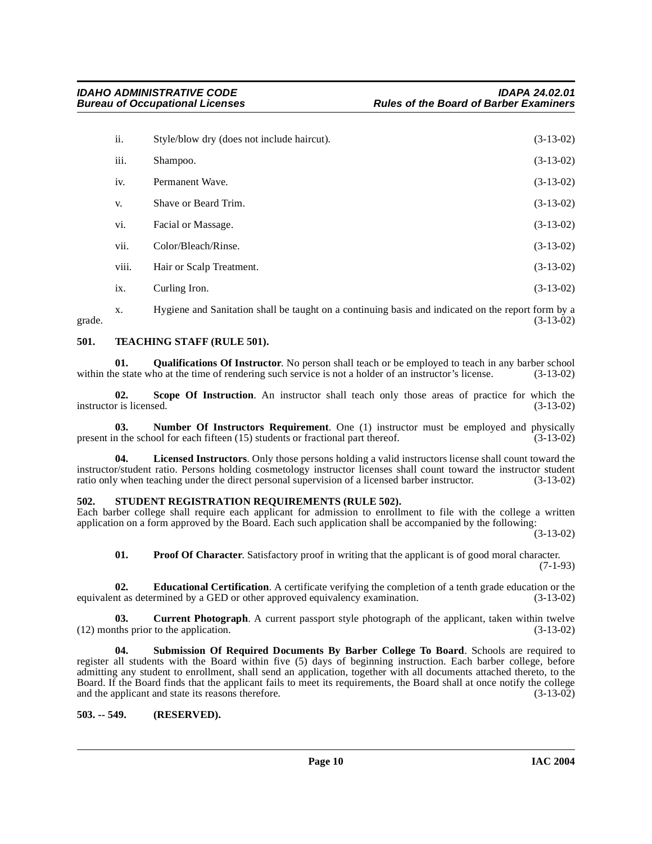| ii.   | Style/blow dry (does not include haircut). | $(3-13-02)$ |
|-------|--------------------------------------------|-------------|
| iii.  | Shampoo.                                   | $(3-13-02)$ |
| iv.   | Permanent Wave.                            | $(3-13-02)$ |
| V.    | Shave or Beard Trim.                       | $(3-13-02)$ |
| vi.   | Facial or Massage.                         | $(3-13-02)$ |
| vii.  | Color/Bleach/Rinse.                        | $(3-13-02)$ |
| viii. | Hair or Scalp Treatment.                   | $(3-13-02)$ |
| ix.   | Curling Iron.                              | $(3-13-02)$ |

x. Hygiene and Sanitation shall be taught on a continuing basis and indicated on the report form by a grade.  $(3-13-02)$ 

#### <span id="page-9-10"></span><span id="page-9-0"></span>**501. TEACHING STAFF (RULE 501).**

<span id="page-9-7"></span>**01. Qualifications Of Instructor**. No person shall teach or be employed to teach in any barber school within the state who at the time of rendering such service is not a holder of an instructor's license. (3-13-02)

**02.** Scope Of Instruction. An instructor shall teach only those areas of practice for which the r is licensed. (3-13-02) instructor is licensed.

<span id="page-9-5"></span>**03. Number Of Instructors Requirement**. One (1) instructor must be employed and physically present in the school for each fifteen (15) students or fractional part thereof. (3-13-02)

**04. Licensed Instructors**. Only those persons holding a valid instructors license shall count toward the instructor/student ratio. Persons holding cosmetology instructor licenses shall count toward the instructor student ratio only when teaching under the direct personal supervision of a licensed barber instructor. (3-13-02)

#### <span id="page-9-8"></span><span id="page-9-1"></span>**502. STUDENT REGISTRATION REQUIREMENTS (RULE 502).**

Each barber college shall require each applicant for admission to enrollment to file with the college a written application on a form approved by the Board. Each such application shall be accompanied by the following:

(3-13-02)

<span id="page-9-6"></span><span id="page-9-4"></span><span id="page-9-3"></span>**01. Proof Of Character**. Satisfactory proof in writing that the applicant is of good moral character.

(7-1-93)

**02. Educational Certification**. A certificate verifying the completion of a tenth grade education or the nt as determined by a GED or other approved equivalency examination. (3-13-02) equivalent as determined by a GED or other approved equivalency examination.

**03. Current Photograph**. A current passport style photograph of the applicant, taken within twelve (12) months prior to the application. (3-13-02)

<span id="page-9-9"></span>**04. Submission Of Required Documents By Barber College To Board**. Schools are required to register all students with the Board within five (5) days of beginning instruction. Each barber college, before admitting any student to enrollment, shall send an application, together with all documents attached thereto, to the Board. If the Board finds that the applicant fails to meet its requirements, the Board shall at once notify the college and the applicant and state its reasons therefore. (3-13-02)

<span id="page-9-2"></span>**503. -- 549. (RESERVED).**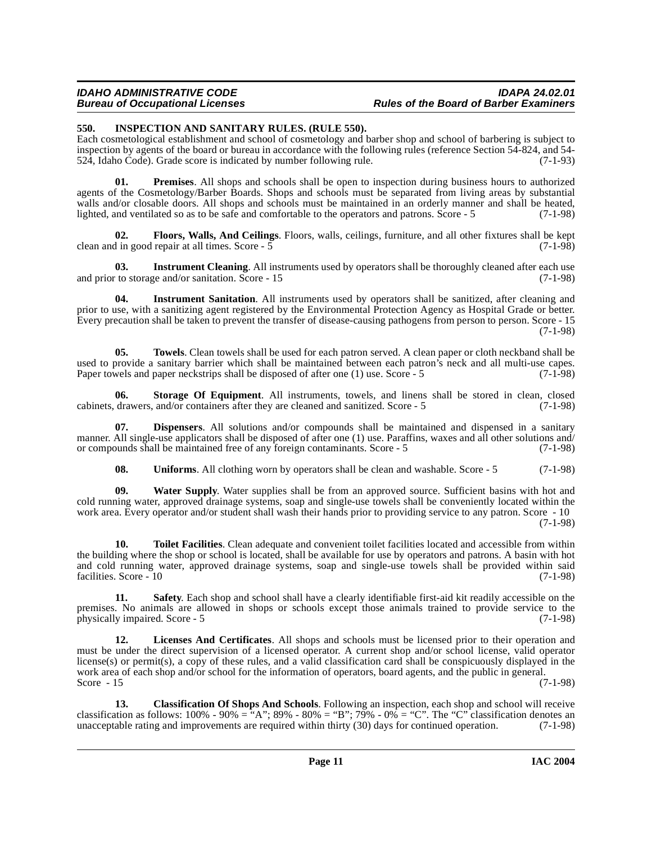#### **IDAHO ADMINISTRATIVE CODE IDAPA 24.02.01 Rules of the Board of Barber Examiners**

#### <span id="page-10-1"></span><span id="page-10-0"></span>**550. INSPECTION AND SANITARY RULES. (RULE 550).**

Each cosmetological establishment and school of cosmetology and barber shop and school of barbering is subject to inspection by agents of the board or bureau in accordance with the following rules (reference Section 54-824, and 54- 524, Idaho Code). Grade score is indicated by number following rule. (7-1-93)

<span id="page-10-2"></span>**01. Premises**. All shops and schools shall be open to inspection during business hours to authorized agents of the Cosmetology/Barber Boards. Shops and schools must be separated from living areas by substantial walls and/or closable doors. All shops and schools must be maintained in an orderly manner and shall be heated, lighted, and ventilated so as to be safe and comfortable to the operators and patrons. Score - 5 (7-1-98)

**02. Floors, Walls, And Ceilings**. Floors, walls, ceilings, furniture, and all other fixtures shall be kept clean and in good repair at all times. Score -  $\overline{5}$ 

**03.** Instrument Cleaning. All instruments used by operators shall be thoroughly cleaned after each use and prior to storage and/or sanitation. Score - 15 (7-1-98)

**04. Instrument Sanitation**. All instruments used by operators shall be sanitized, after cleaning and prior to use, with a sanitizing agent registered by the Environmental Protection Agency as Hospital Grade or better. Every precaution shall be taken to prevent the transfer of disease-causing pathogens from person to person. Score - 15 (7-1-98)

**05. Towels**. Clean towels shall be used for each patron served. A clean paper or cloth neckband shall be used to provide a sanitary barrier which shall be maintained between each patron's neck and all multi-use capes. Paper towels and paper neckstrips shall be disposed of after one (1) use. Score - 5 (7-1-98)

**06.** Storage Of Equipment. All instruments, towels, and linens shall be stored in clean, closed drawers, and/or containers after they are cleaned and sanitized. Score - 5 (7-1-98) cabinets, drawers, and/or containers after they are cleaned and sanitized. Score - 5

**Dispensers**. All solutions and/or compounds shall be maintained and dispensed in a sanitary manner. All single-use applicators shall be disposed of after one (1) use. Paraffins, waxes and all other solutions and/<br>or compounds shall be maintained free of any foreign contaminants. Score - 5 (7-1-98) or compounds shall be maintained free of any foreign contaminants. Score - 5

**08.** Uniforms. All clothing worn by operators shall be clean and washable. Score - 5 (7-1-98)

**09. Water Supply**. Water supplies shall be from an approved source. Sufficient basins with hot and cold running water, approved drainage systems, soap and single-use towels shall be conveniently located within the work area. Every operator and/or student shall wash their hands prior to providing service to any patron. Score - 10 (7-1-98)

**10. Toilet Facilities**. Clean adequate and convenient toilet facilities located and accessible from within the building where the shop or school is located, shall be available for use by operators and patrons. A basin with hot and cold running water, approved drainage systems, soap and single-use towels shall be provided within said facilities. Score - 10 (7-1-98)

**11. Safety**. Each shop and school shall have a clearly identifiable first-aid kit readily accessible on the premises. No animals are allowed in shops or schools except those animals trained to provide service to the physically impaired. Score - 5 (7-1-98)

**12. Licenses And Certificates**. All shops and schools must be licensed prior to their operation and must be under the direct supervision of a licensed operator. A current shop and/or school license, valid operator license(s) or permit(s), a copy of these rules, and a valid classification card shall be conspicuously displayed in the work area of each shop and/or school for the information of operators, board agents, and the public in general. Score  $-15$  (7-1-98)

**13. Classification Of Shops And Schools**. Following an inspection, each shop and school will receive classification as follows: 100% - 90% = "A"; 89% - 80% = "B"; 79% - 0% = "C". The "C" classification denotes an unacceptable rating and improvements are required within thirty (30) days for continued operation. (7-1-98) unacceptable rating and improvements are required within thirty  $(30)$  days for continued operation.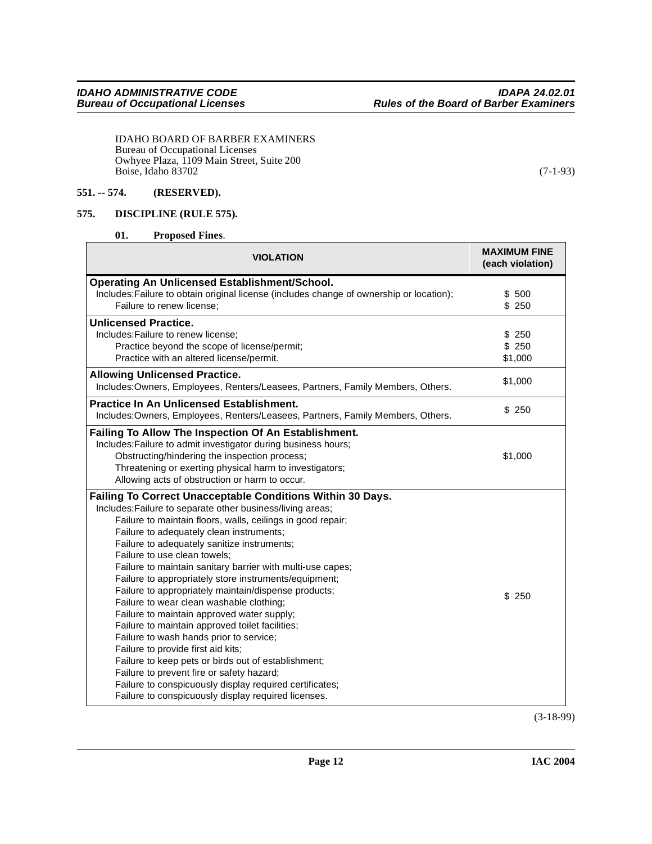IDAHO BOARD OF BARBER EXAMINERS Bureau of Occupational Licenses Owhyee Plaza, 1109 Main Street, Suite 200 Boise, Idaho 83702 (7-1-93)

#### <span id="page-11-0"></span>**551. -- 574. (RESERVED).**

#### <span id="page-11-1"></span>**575. DISCIPLINE (RULE 575).**

<span id="page-11-3"></span><span id="page-11-2"></span>**01. Proposed Fines**.

| <b>VIOLATION</b>                                                                         | <b>MAXIMUM FINE</b><br>(each violation) |  |  |  |
|------------------------------------------------------------------------------------------|-----------------------------------------|--|--|--|
| <b>Operating An Unlicensed Establishment/School.</b>                                     |                                         |  |  |  |
| Includes: Failure to obtain original license (includes change of ownership or location); | \$500                                   |  |  |  |
| Failure to renew license:                                                                | \$250                                   |  |  |  |
| <b>Unlicensed Practice.</b>                                                              |                                         |  |  |  |
| Includes: Failure to renew license:                                                      | \$250                                   |  |  |  |
| Practice beyond the scope of license/permit;                                             | \$250                                   |  |  |  |
| Practice with an altered license/permit.                                                 | \$1,000                                 |  |  |  |
| <b>Allowing Unlicensed Practice.</b>                                                     | \$1,000                                 |  |  |  |
| Includes: Owners, Employees, Renters/Leasees, Partners, Family Members, Others.          |                                         |  |  |  |
| <b>Practice In An Unlicensed Establishment.</b>                                          | \$250                                   |  |  |  |
| Includes: Owners, Employees, Renters/Leasees, Partners, Family Members, Others.          |                                         |  |  |  |
| Failing To Allow The Inspection Of An Establishment.                                     |                                         |  |  |  |
| Includes: Failure to admit investigator during business hours;                           |                                         |  |  |  |
| Obstructing/hindering the inspection process;                                            | \$1,000                                 |  |  |  |
| Threatening or exerting physical harm to investigators;                                  |                                         |  |  |  |
| Allowing acts of obstruction or harm to occur.                                           |                                         |  |  |  |
| Failing To Correct Unacceptable Conditions Within 30 Days.                               |                                         |  |  |  |
| Includes: Failure to separate other business/living areas;                               |                                         |  |  |  |
| Failure to maintain floors, walls, ceilings in good repair;                              |                                         |  |  |  |
| Failure to adequately clean instruments;                                                 |                                         |  |  |  |
| Failure to adequately sanitize instruments;                                              |                                         |  |  |  |
| Failure to use clean towels;                                                             |                                         |  |  |  |
| Failure to maintain sanitary barrier with multi-use capes;                               |                                         |  |  |  |
| Failure to appropriately store instruments/equipment;                                    |                                         |  |  |  |
| Failure to appropriately maintain/dispense products;                                     | \$250                                   |  |  |  |
| Failure to wear clean washable clothing;                                                 |                                         |  |  |  |
| Failure to maintain approved water supply;                                               |                                         |  |  |  |
| Failure to maintain approved toilet facilities;                                          |                                         |  |  |  |
| Failure to wash hands prior to service;                                                  |                                         |  |  |  |
| Failure to provide first aid kits;                                                       |                                         |  |  |  |
| Failure to keep pets or birds out of establishment;                                      |                                         |  |  |  |
| Failure to prevent fire or safety hazard;                                                |                                         |  |  |  |
| Failure to conspicuously display required certificates;                                  |                                         |  |  |  |
| Failure to conspicuously display required licenses.                                      |                                         |  |  |  |

(3-18-99)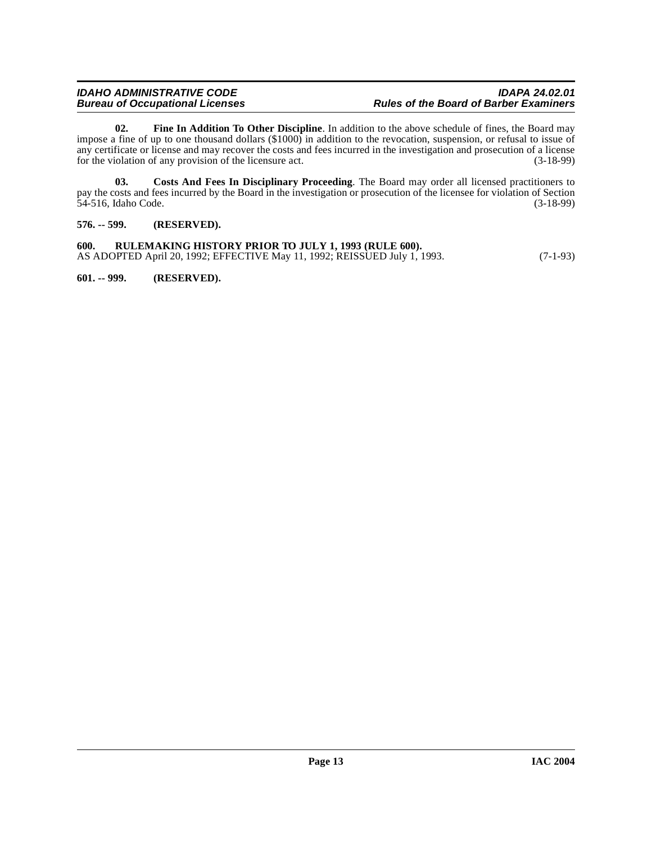#### **IDAHO ADMINISTRATIVE CODE IDAPA 24.02.01 Rules of the Board of Barber Examiners**

<span id="page-12-4"></span>**02. Fine In Addition To Other Discipline**. In addition to the above schedule of fines, the Board may impose a fine of up to one thousand dollars (\$1000) in addition to the revocation, suspension, or refusal to issue of any certificate or license and may recover the costs and fees incurred in the investigation and prosecution of a license<br>for the violation of any provision of the licensure act. (3-18-99) for the violation of any provision of the licensure act.

<span id="page-12-3"></span>**03. Costs And Fees In Disciplinary Proceeding**. The Board may order all licensed practitioners to pay the costs and fees incurred by the Board in the investigation or prosecution of the licensee for violation of Section 54-516, Idaho Code. (3-18-99) 54-516, Idaho Code.

<span id="page-12-0"></span>**576. -- 599. (RESERVED).**

<span id="page-12-1"></span>**600. RULEMAKING HISTORY PRIOR TO JULY 1, 1993 (RULE 600).** AS ADOPTED April 20, 1992; EFFECTIVE May 11, 1992; REISSUED July 1, 1993. (7-1-93)

<span id="page-12-2"></span>**601. -- 999. (RESERVED).**